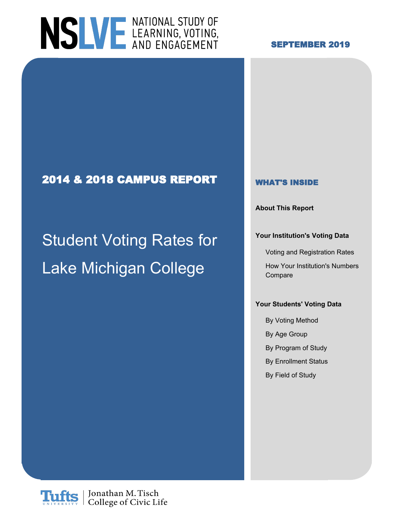

### **SEPTEMBER 2019**

### **2014 & 2018 CAMPUS REPORT WHAT'S INSIDE**

# Student Voting Rates for **Institution's Voting Data** Lake Michigan College How Your Institution's Numbers

**About This Report**

Voting and Registration Rates

Compare

### **Your Students' Voting Data**

By Voting Method By Age Group By Program of Study By Enrollment Status By Field of Study

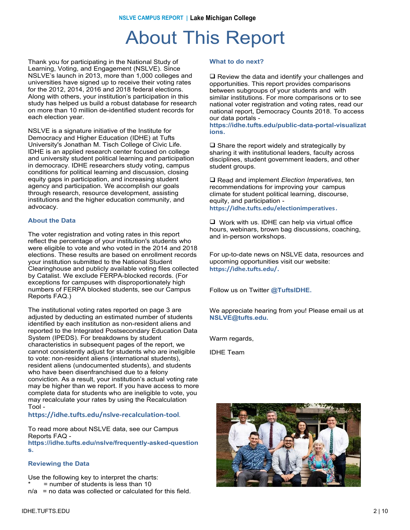### About This Report

Thank you for participating in the National Study of Learning, Voting, and Engagement (NSLVE). Since NSLVE's launch in 2013, more than 1,000 colleges and universities have signed up to receive their voting rates for the 2012, 2014, 2016 and 2018 federal elections. Along with others, your institution's participation in this study has helped us build a robust database for research on more than 10 million de-identified student records for each election year.

NSLVE is a signature initiative of the Institute for Democracy and Higher Education (IDHE) at Tufts University's Jonathan M. Tisch College of Civic Life. IDHE is an applied research center focused on college and university student political learning and participation in democracy. IDHE researchers study voting, campus conditions for political learning and discussion, closing equity gaps in participation, and increasing student agency and participation. We accomplish our goals through research, resource development, assisting institutions and the higher education community, and advocacy.

#### **About the Data**

The voter registration and voting rates in this report reflect the percentage of your institution's students who were eligible to vote and who voted in the 2014 and 2018 elections. These results are based on enrollment records your institution submitted to the National Student Clearinghouse and publicly available voting files collected by Catalist. We exclude FERPA-blocked records. (For exceptions for campuses with disproportionately high numbers of FERPA blocked students, see our Campus Reports FAQ.)

The institutional voting rates reported on page 3 are adjusted by deducting an estimated number of students identified by each institution as non-resident aliens and reported to the Integrated Postsecondary Education Data System (IPEDS). For breakdowns by student characteristics in subsequent pages of the report, we cannot consistently adjust for students who are ineligible to vote: non-resident aliens (international students), resident aliens (undocumented students), and students who have been disenfranchised due to a felony conviction. As a result, your institution's actual voting rate may be higher than we report. If you have access to more complete data for students who are ineligible to vote, you may recalculate your rates by using the Recalculation Tool -

#### **https://idhe.tufts.edu/nslve-recalculation-tool**.

To read more about NSLVE data, see our Campus Reports FAQ -

**https://idhe.tufts.edu/nslve/frequently-asked-question s.**

#### **Reviewing the Data**

Use the following key to interpret the charts:  $=$  number of students is less than 10

 $n/a$  = no data was collected or calculated for this field.

#### **What to do next?**

 $\Box$  Review the data and identify your challenges and opportunities. This report provides comparisons between subgroups of your students and with similar institutions. For more comparisons or to see national voter registration and voting rates, read our national report, Democracy Counts 2018. To access our data portals -

**https://idhe.tufts.edu/public-data-portal-visualizat ions.**

 $\square$  Share the report widely and strategically by sharing it with institutional leaders, faculty across disciplines, student government leaders, and other student groups.

□ Read and *implement Election Imperatives*, ten recommendations for improving your campus climate for student political learning, discourse, equity, and participation **https://idhe.tufts.edu/electionimperatives.**

 $\Box$  Work with us. IDHE can help via virtual office hours, webinars, brown bag discussions, coaching, and in-person workshops.

For up-to-date news on NSLVE data, resources and upcoming opportunities visit our website: **https://idhe.tufts.edu/.**

Follow us on Twitter **@TuftsIDHE.**

We appreciate hearing from you! Please email us at **NSLVE@tufts.edu.**

Warm regards,

IDHE Team

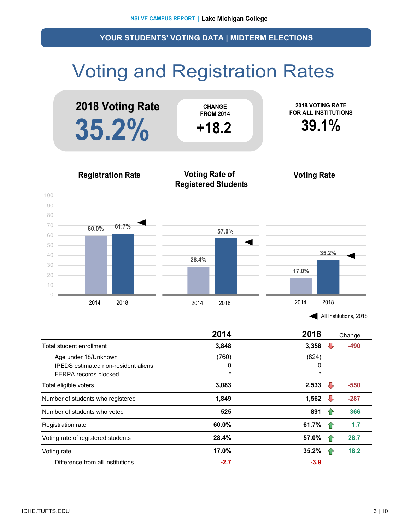## Voting and Registration Rates



| All Institutions, 2018 |  |
|------------------------|--|
|------------------------|--|

|                                            | 2014    | 2018    |     | Change |
|--------------------------------------------|---------|---------|-----|--------|
| Total student enrollment                   | 3,848   | 3,358   |     | $-490$ |
| Age under 18/Unknown                       | (760)   | (824)   |     |        |
| <b>IPEDS</b> estimated non-resident aliens | 0       | 0       |     |        |
| FERPA records blocked                      | $\star$ | $\star$ |     |        |
| Total eligible voters                      | 3,083   | 2,533   | ₩   | $-550$ |
| Number of students who registered          | 1,849   | 1,562   | ₩   | $-287$ |
| Number of students who voted               | 525     | 891     | 1P  | 366    |
| Registration rate                          | 60.0%   | 61.7%   | -17 | 1.7    |
| Voting rate of registered students         | 28.4%   | 57.0%   | 1P  | 28.7   |
| Voting rate                                | 17.0%   | 35.2%   |     | 18.2   |
| Difference from all institutions           | $-2.7$  | $-3.9$  |     |        |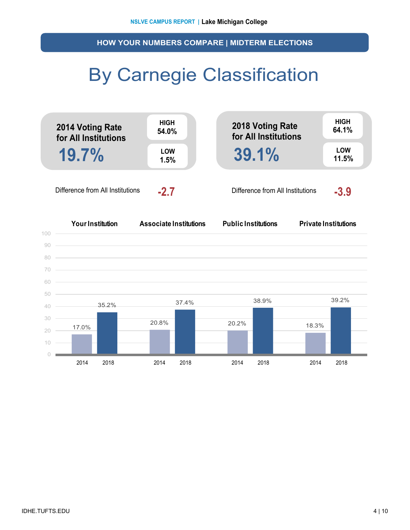**HOW YOUR NUMBERS COMPARE | MIDTERM ELECTIONS**

### By Carnegie Classification



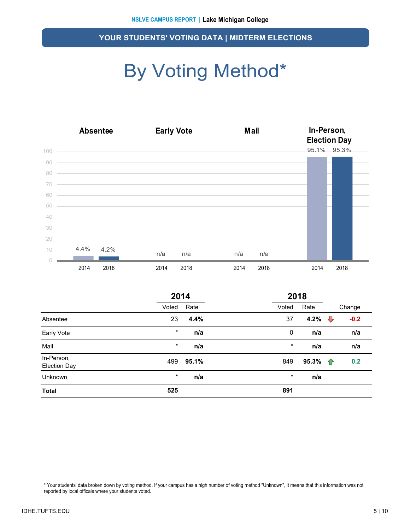## By Voting Method\*

|        |               | <b>Absentee</b><br><b>Early Vote</b> |                                                                                                                         |      |      | <b>Mail</b> |  | In-Person,<br><b>Election Day</b> |             |  |
|--------|---------------|--------------------------------------|-------------------------------------------------------------------------------------------------------------------------|------|------|-------------|--|-----------------------------------|-------------|--|
| 100    |               |                                      |                                                                                                                         |      |      |             |  |                                   | 95.1% 95.3% |  |
| 90     |               |                                      | <u> 1989 - Johann Stoff, amerikansk politiker (d. 1989)</u>                                                             |      |      |             |  |                                   |             |  |
| 80     |               |                                      | ,我们的人们就会在这里,我们的人们就会在这里,我们的人们就会在这里,我们的人们就会在这里,我们的人们就会在这里,我们的人们就会在这里,我们的人们就会在这里,我们                                        |      |      |             |  |                                   |             |  |
| 70     |               |                                      |                                                                                                                         |      |      |             |  |                                   |             |  |
| 60     |               |                                      | <u> 1999 - Jan Barat, martin amerikan basa dan ba</u>                                                                   |      |      |             |  |                                   |             |  |
| 50     |               |                                      | <u> 1999 - Jan Alexander de Carlos de Carlos de Carlos de Carlos de Carlos de Carlos de Carlos de Carlos de Carlos </u> |      |      |             |  |                                   |             |  |
| 40     |               |                                      | <u> 1989 - Jan Salaman Salaman (j. 1989)</u>                                                                            |      |      |             |  |                                   |             |  |
| 30     |               |                                      | <u> 1999 - Jan Samuel Barbara, margaret eta idazlearen 1992an eta idazlearen 1992. Erresuma eta idazlea eta idazl</u>   |      |      |             |  |                                   |             |  |
| 20     |               |                                      |                                                                                                                         |      |      |             |  |                                   |             |  |
| $10 -$ | $-4.4\%$ 4.2% |                                      | n/a                                                                                                                     | n/a  | n/a  | n/a         |  |                                   |             |  |
|        |               |                                      |                                                                                                                         |      |      |             |  |                                   |             |  |
|        | 2014          | 2018                                 | 2014                                                                                                                    | 2018 | 2014 | 2018        |  | 2014                              | 2018        |  |

|                                   | 2014    |       |  | 2018    |       |   |        |
|-----------------------------------|---------|-------|--|---------|-------|---|--------|
|                                   | Voted   | Rate  |  | Voted   | Rate  |   | Change |
| Absentee                          | 23      | 4.4%  |  | 37      | 4.2%  | ⇩ | $-0.2$ |
| Early Vote                        | $\star$ | n/a   |  | 0       | n/a   |   | n/a    |
| Mail                              | $\star$ | n/a   |  | $\star$ | n/a   |   | n/a    |
| In-Person,<br><b>Election Day</b> | 499     | 95.1% |  | 849     | 95.3% | ⇑ | 0.2    |
| Unknown                           | $\star$ | n/a   |  | $\star$ | n/a   |   |        |
| <b>Total</b>                      | 525     |       |  | 891     |       |   |        |

\* Your students' data broken down by voting method. If your campus has a high number of voting method "Unknown", it means that this information was not reported by local officals where your students voted.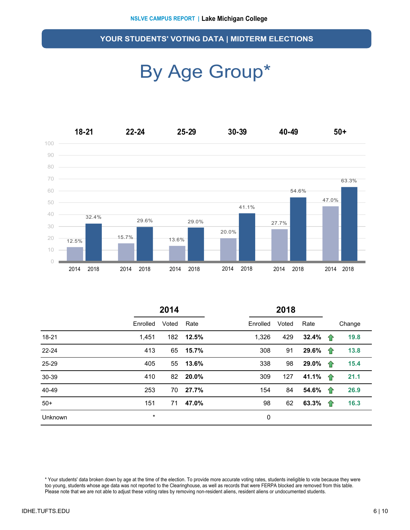### By Age Group\*



|           | 2014     |       |       | 2018     |       |       |   |        |
|-----------|----------|-------|-------|----------|-------|-------|---|--------|
|           | Enrolled | Voted | Rate  | Enrolled | Voted | Rate  |   | Change |
| 18-21     | 1,451    | 182   | 12.5% | 1,326    | 429   | 32.4% | ⇑ | 19.8   |
| $22 - 24$ | 413      | 65    | 15.7% | 308      | 91    | 29.6% | ⇑ | 13.8   |
| 25-29     | 405      | 55    | 13.6% | 338      | 98    | 29.0% | ⇑ | 15.4   |
| 30-39     | 410      | 82    | 20.0% | 309      | 127   | 41.1% | 企 | 21.1   |
| 40-49     | 253      | 70    | 27.7% | 154      | 84    | 54.6% | 企 | 26.9   |
| $50+$     | 151      | 71    | 47.0% | 98       | 62    | 63.3% | ⇑ | 16.3   |
| Unknown   | $\star$  |       |       | 0        |       |       |   |        |

\* Your students' data broken down by age at the time of the election. To provide more accurate voting rates, students ineligible to vote because they were too young, students whose age data was not reported to the Clearinghouse, as well as records that were FERPA blocked are removed from this table. Please note that we are not able to adjust these voting rates by removing non-resident aliens, resident aliens or undocumented students.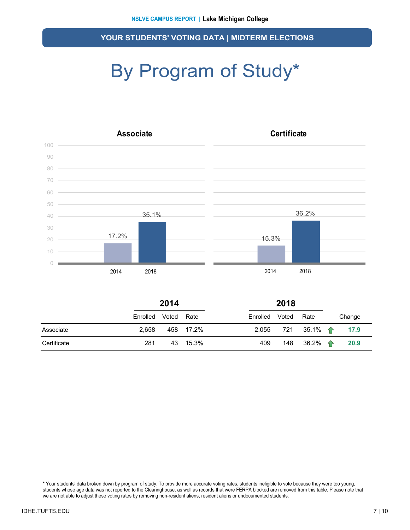## By Program of Study\*



|             | 2014     |       |           |          | 2018  |                         |  |        |
|-------------|----------|-------|-----------|----------|-------|-------------------------|--|--------|
|             | Enrolled | Voted | Rate      | Enrolled | Voted | Rate                    |  | Change |
| Associate   | 2.658    |       | 458 17.2% | 2,055    |       | 721  35.1% <del>个</del> |  | 17.9   |
| Certificate | 281      |       | 43 15.3%  | 409      |       | 148 36.2% $\uparrow$    |  | 20.9   |

\* Your students' data broken down by program of study. To provide more accurate voting rates, students ineligible to vote because they were too young, students whose age data was not reported to the Clearinghouse, as well as records that were FERPA blocked are removed from this table. Please note that we are not able to adjust these voting rates by removing non-resident aliens, resident aliens or undocumented students.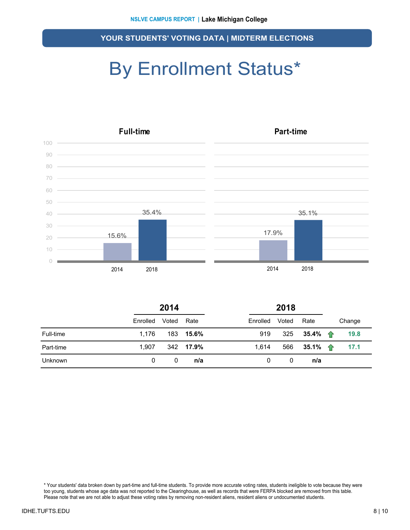### By Enrollment Status\*



|                | 2014     |       |           | 2018     |       |                          |  |        |
|----------------|----------|-------|-----------|----------|-------|--------------------------|--|--------|
|                | Enrolled | Voted | Rate      | Enrolled | Voted | Rate                     |  | Change |
| Full-time      | 1.176    |       | 183 15.6% | 919      | 325   | 35.4% $\uparrow$         |  | 19.8   |
| Part-time      | 1.907    |       | 342 17.9% | 1.614    | 566   | 35.1% $\hat{\mathbf{T}}$ |  | 17.1   |
| <b>Unknown</b> | 0        | 0     | n/a       | 0        | 0     | n/a                      |  |        |

\* Your students' data broken down by part-time and full-time students. To provide more accurate voting rates, students ineligible to vote because they were too young, students whose age data was not reported to the Clearinghouse, as well as records that were FERPA blocked are removed from this table. Please note that we are not able to adjust these voting rates by removing non-resident aliens, resident aliens or undocumented students.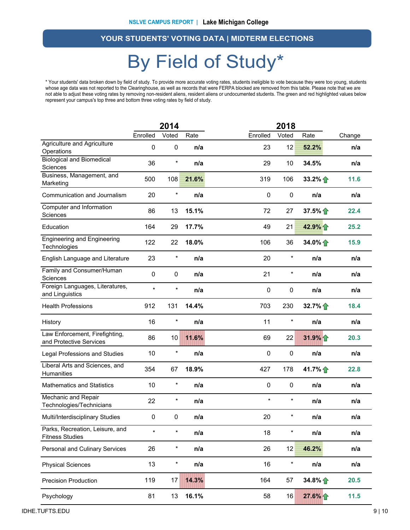### By Field of Study\*

\* Your students' data broken down by field of study. To provide more accurate voting rates, students ineligible to vote because they were too young, students whose age data was not reported to the Clearinghouse, as well as records that were FERPA blocked are removed from this table. Please note that we are not able to adjust these voting rates by removing non-resident aliens, resident aliens or undocumented students. The green and red highlighted values below represent your campus's top three and bottom three voting rates by field of study.

|                                                           |             | 2014       |       |          | 2018       |                 |        |
|-----------------------------------------------------------|-------------|------------|-------|----------|------------|-----------------|--------|
|                                                           | Enrolled    | Voted      | Rate  | Enrolled | Voted      | Rate            | Change |
| Agriculture and Agriculture<br>Operations                 | 0           | 0          | n/a   | 23       | 12         | 52.2%           | n/a    |
| <b>Biological and Biomedical</b><br>Sciences              | 36          | $\ast$     | n/a   | 29       | 10         | 34.5%           | n/a    |
| Business, Management, and<br>Marketing                    | 500         | 108        | 21.6% | 319      | 106        | $33.2\%$        | 11.6   |
| Communication and Journalism                              | 20          | $\ast$     | n/a   | 0        | 0          | n/a             | n/a    |
| Computer and Information<br>Sciences                      | 86          | 13         | 15.1% | 72       | 27         | 37.5%           | 22.4   |
| Education                                                 | 164         | 29         | 17.7% | 49       | 21         | 42.9%           | 25.2   |
| <b>Engineering and Engineering</b><br>Technologies        | 122         | 22         | 18.0% | 106      | 36         | 34.0% $\bigcap$ | 15.9   |
| English Language and Literature                           | 23          | $\star$    | n/a   | 20       | $\star$    | n/a             | n/a    |
| Family and Consumer/Human<br>Sciences                     | $\mathbf 0$ | 0          | n/a   | 21       | $\star$    | n/a             | n/a    |
| Foreign Languages, Literatures,<br>and Linguistics        | $\star$     | $\star$    | n/a   | 0        | $\pmb{0}$  | n/a             | n/a    |
| <b>Health Professions</b>                                 | 912         | 131        | 14.4% | 703      | 230        | 32.7%           | 18.4   |
| History                                                   | 16          | $\star$    | n/a   | 11       | $\star$    | n/a             | n/a    |
| Law Enforcement, Firefighting,<br>and Protective Services | 86          | 10         | 11.6% | 69       | 22         | 31.9%           | 20.3   |
| Legal Professions and Studies                             | 10          | $^{\star}$ | n/a   | 0        | 0          | n/a             | n/a    |
| Liberal Arts and Sciences, and<br>Humanities              | 354         | 67         | 18.9% | 427      | 178        | 41.7% $\bigcap$ | 22.8   |
| <b>Mathematics and Statistics</b>                         | 10          | $\ast$     | n/a   | 0        | $\pmb{0}$  | n/a             | n/a    |
| Mechanic and Repair<br>Technologies/Technicians           | 22          | $\star$    | n/a   | $\star$  | $\star$    | n/a             | n/a    |
| Multi/Interdisciplinary Studies                           | 0           | 0          | n/a   | 20       | $^{\star}$ | n/a             | n/a    |
| Parks, Recreation, Leisure, and<br><b>Fitness Studies</b> | $\star$     | $\star$    | n/a   | 18       | $\star$    | n/a             | n/a    |
| Personal and Culinary Services                            | 26          | $\ast$     | n/a   | 26       | 12         | 46.2%           | n/a    |
| <b>Physical Sciences</b>                                  | 13          | $\star$    | n/a   | 16       | $\ast$     | n/a             | n/a    |
| <b>Precision Production</b>                               | 119         | 17         | 14.3% | 164      | 57         | 34.8%           | 20.5   |
| Psychology                                                | 81          | 13         | 16.1% | 58       | 16         | 27.6% 个         | $11.5$ |